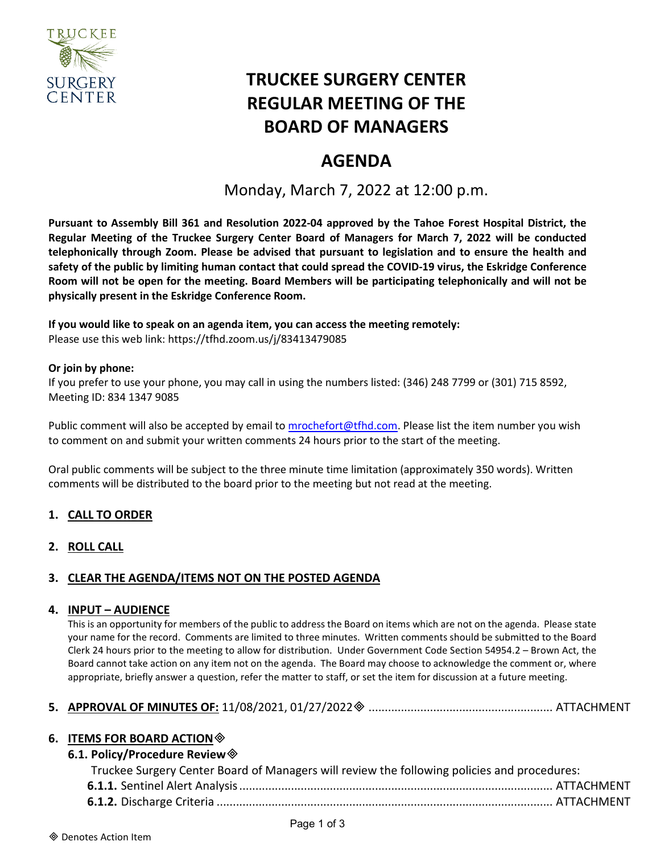

# **TRUCKEE SURGERY CENTER REGULAR MEETING OF THE BOARD OF MANAGERS**

## **AGENDA**

Monday, March 7, 2022 at 12:00 p.m.

**Pursuant to Assembly Bill 361 and Resolution 2022-04 approved by the Tahoe Forest Hospital District, the Regular Meeting of the Truckee Surgery Center Board of Managers for March 7, 2022 will be conducted telephonically through Zoom. Please be advised that pursuant to legislation and to ensure the health and safety of the public by limiting human contact that could spread the COVID-19 virus, the Eskridge Conference Room will not be open for the meeting. Board Members will be participating telephonically and will not be physically present in the Eskridge Conference Room.**

### **If you would like to speak on an agenda item, you can access the meeting remotely:**

Please use this web link: <https://tfhd.zoom.us/j/83413479085>

#### **Or join by phone:**

If you prefer to use your phone, you may call in using the numbers listed: (346) 248 7799 or (301) 715 8592, Meeting ID: 834 1347 9085

Public comment will also be accepted by email to [mrochefort@tfhd.com.](mailto:mrochefort@tfhd.com) Please list the item number you wish to comment on and submit your written comments 24 hours prior to the start of the meeting.

Oral public comments will be subject to the three minute time limitation (approximately 350 words). Written comments will be distributed to the board prior to the meeting but not read at the meeting.

#### **1. CALL TO ORDER**

#### **2. ROLL CALL**

#### **3. CLEAR THE AGENDA/ITEMS NOT ON THE POSTED AGENDA**

#### **4. INPUT – AUDIENCE**

This is an opportunity for members of the public to address the Board on items which are not on the agenda. Please state your name for the record. Comments are limited to three minutes. Written comments should be submitted to the Board Clerk 24 hours prior to the meeting to allow for distribution. Under Government Code Section 54954.2 – Brown Act, the Board cannot take action on any item not on the agenda. The Board may choose to acknowledge the comment or, where appropriate, briefly answer a question, refer the matter to staff, or set the item for discussion at a future meeting.

#### **5. APPROVAL OF MINUTES OF:** 11/08/2021, 01/27/2022 ......................................................... ATTACHMENT

#### **6. ITEMS FOR BOARD ACTION**

#### **6.1. Policy/Procedure Review**

| Truckee Surgery Center Board of Managers will review the following policies and procedures: |  |
|---------------------------------------------------------------------------------------------|--|
|                                                                                             |  |
|                                                                                             |  |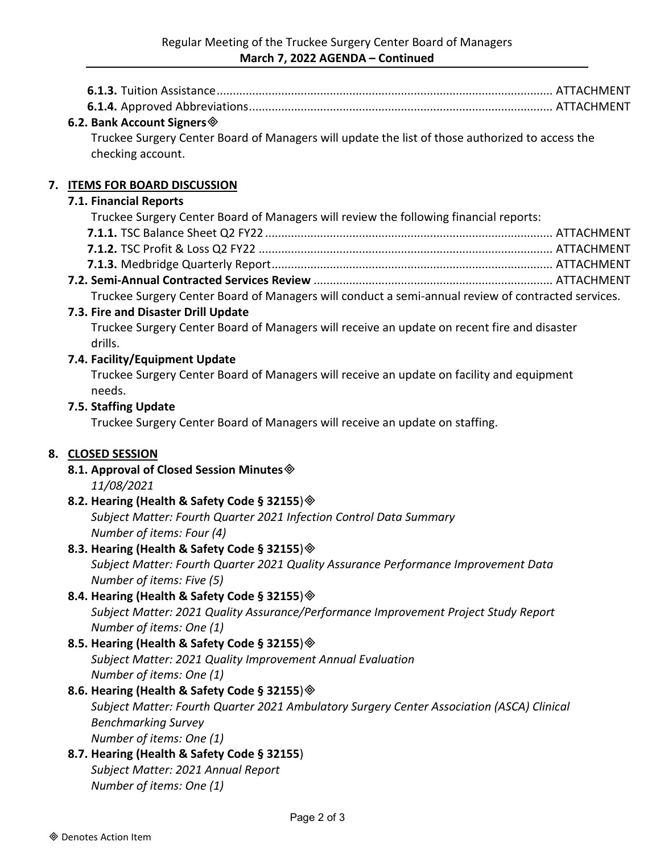| 6.2. Bank Account Signers $\otimes$                                                                |  |
|----------------------------------------------------------------------------------------------------|--|
| Truckee Surgery Center Board of Managers will update the list of those authorized to access the    |  |
| checking account.                                                                                  |  |
|                                                                                                    |  |
| 7. ITEMS FOR BOARD DISCUSSION                                                                      |  |
| 7.1. Financial Reports                                                                             |  |
| Truckee Surgery Center Board of Managers will review the following financial reports:              |  |
|                                                                                                    |  |
|                                                                                                    |  |
|                                                                                                    |  |
|                                                                                                    |  |
| Truckee Surgery Center Board of Managers will conduct a semi-annual review of contracted services. |  |
| 7.3. Fire and Disaster Drill Update                                                                |  |
| Truckee Surgery Center Board of Managers will receive an update on recent fire and disaster        |  |
| drills.                                                                                            |  |
| 7.4. Facility/Equipment Update                                                                     |  |
| Truckee Surgery Center Board of Managers will receive an update on facility and equipment          |  |
| needs.                                                                                             |  |
| 7.5. Staffing Update                                                                               |  |
| Truckee Surgery Center Board of Managers will receive an update on staffing.                       |  |
|                                                                                                    |  |
| 8. CLOSED SESSION                                                                                  |  |
| 8.1. Approval of Closed Session Minutes $\otimes$                                                  |  |
| 11/08/2021                                                                                         |  |
| 8.2. Hearing (Health & Safety Code § 32155) $\otimes$                                              |  |
| Subject Matter: Fourth Quarter 2021 Infection Control Data Summary                                 |  |
| Number of items: Four (4)                                                                          |  |
| 8.3. Hearing (Health & Safety Code § 32155) $\otimes$                                              |  |
| Subject Matter: Fourth Quarter 2021 Quality Assurance Performance Improvement Data                 |  |
| Number of items: Five (5)                                                                          |  |
| 8.4. Hearing (Health & Safety Code § 32155) $\otimes$                                              |  |
| Subject Matter: 2021 Quality Assurance/Performance Improvement Project Study Report                |  |
| Number of items: One (1)                                                                           |  |
| 8.5. Hearing (Health & Safety Code § 32155) $\otimes$                                              |  |
| Subject Matter: 2021 Quality Improvement Annual Evaluation                                         |  |
| Number of items: One (1)                                                                           |  |
| 8.6. Hearing (Health & Safety Code § 32155) $\otimes$                                              |  |
| Subject Matter: Fourth Quarter 2021 Ambulatory Surgery Center Association (ASCA) Clinical          |  |
| <b>Benchmarking Survey</b>                                                                         |  |
| Number of items: One (1)                                                                           |  |
| 8.7. Hearing (Health & Safety Code § 32155)                                                        |  |
| Subject Matter: 2021 Annual Report                                                                 |  |
| Number of items: One (1)                                                                           |  |
|                                                                                                    |  |